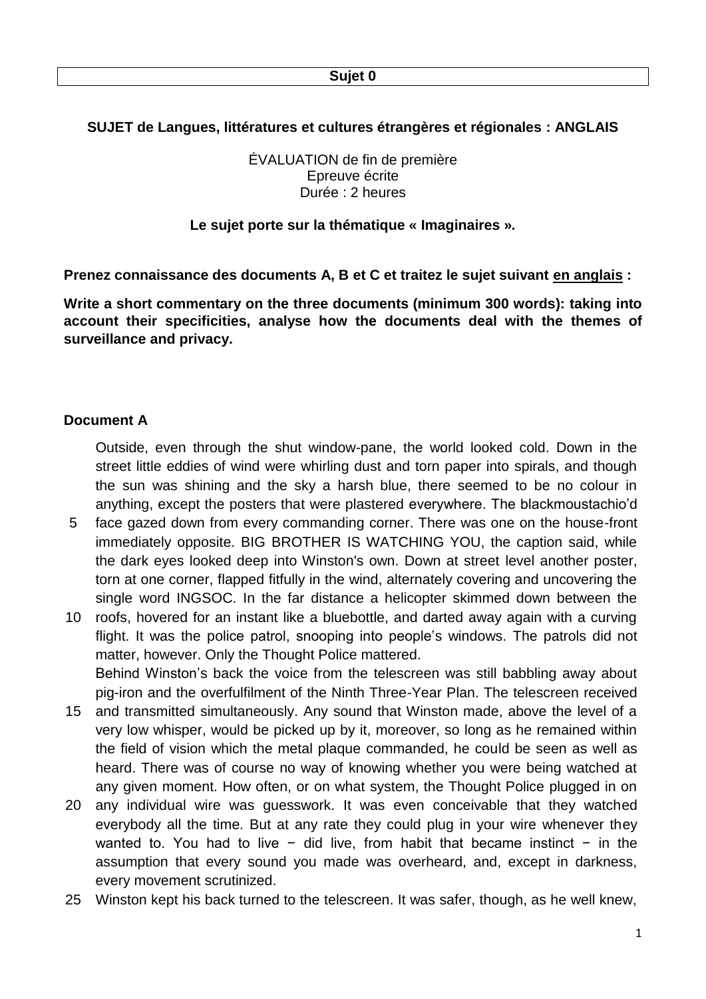## **SUJET de Langues, littératures et cultures étrangères et régionales : ANGLAIS**

ÉVALUATION de fin de première Epreuve écrite Durée : 2 heures

#### **Le sujet porte sur la thématique « Imaginaires »***.*

**Prenez connaissance des documents A, B et C et traitez le sujet suivant en anglais :** 

**Write a short commentary on the three documents (minimum 300 words): taking into account their specificities, analyse how the documents deal with the themes of surveillance and privacy.**

## **Document A**

Outside, even through the shut window-pane, the world looked cold. Down in the street little eddies of wind were whirling dust and torn paper into spirals, and though the sun was shining and the sky a harsh blue, there seemed to be no colour in anything, except the posters that were plastered everywhere. The blackmoustachio'd

- 5 face gazed down from every commanding corner. There was one on the house-front immediately opposite. BIG BROTHER IS WATCHING YOU, the caption said, while the dark eyes looked deep into Winston's own. Down at street level another poster, torn at one corner, flapped fitfully in the wind, alternately covering and uncovering the single word INGSOC. In the far distance a helicopter skimmed down between the
- 10 roofs, hovered for an instant like a bluebottle, and darted away again with a curving flight. It was the police patrol, snooping into people's windows. The patrols did not matter, however. Only the Thought Police mattered. Behind Winston's back the voice from the telescreen was still babbling away about pig-iron and the overfulfilment of the Ninth Three-Year Plan. The telescreen received
- 15 and transmitted simultaneously. Any sound that Winston made, above the level of a very low whisper, would be picked up by it, moreover, so long as he remained within the field of vision which the metal plaque commanded, he could be seen as well as heard. There was of course no way of knowing whether you were being watched at any given moment. How often, or on what system, the Thought Police plugged in on
- 20 any individual wire was guesswork. It was even conceivable that they watched everybody all the time. But at any rate they could plug in your wire whenever they wanted to. You had to live − did live, from habit that became instinct − in the assumption that every sound you made was overheard, and, except in darkness, every movement scrutinized.
- 25 Winston kept his back turned to the telescreen. It was safer, though, as he well knew,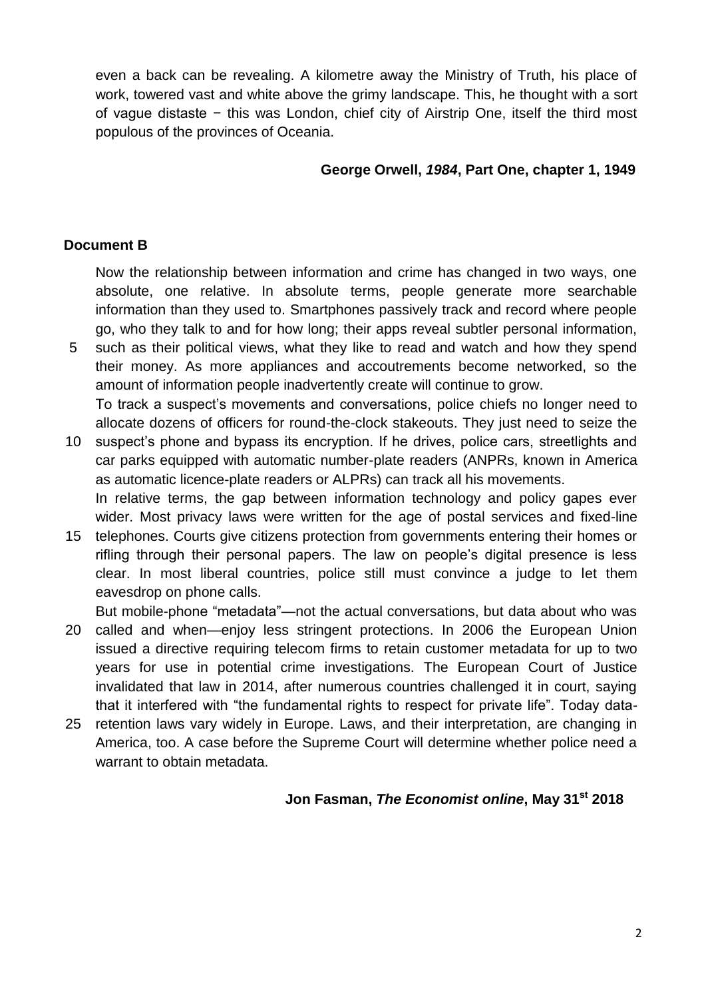even a back can be revealing. A kilometre away the Ministry of Truth, his place of work, towered vast and white above the grimy landscape. This, he thought with a sort of vague distaste − this was London, chief city of Airstrip One, itself the third most populous of the provinces of Oceania.

### **George Orwell,** *1984***, Part One, chapter 1, 1949**

#### **Document B**

Now the relationship between information and crime has changed in two ways, one absolute, one relative. In absolute terms, people generate more searchable information than they used to. Smartphones passively track and record where people go, who they talk to and for how long; their apps reveal subtler personal information,

- 5 such as their political views, what they like to read and watch and how they spend their money. As more appliances and accoutrements become networked, so the amount of information people inadvertently create will continue to grow. To track a suspect's movements and conversations, police chiefs no longer need to
- 10 suspect's phone and bypass its encryption. If he drives, police cars, streetlights and allocate dozens of officers for round-the-clock stakeouts. They just need to seize the car parks equipped with automatic number-plate readers (ANPRs, known in America as automatic licence-plate readers or ALPRs) can track all his movements. In relative terms, the gap between information technology and policy gapes ever wider. Most privacy laws were written for the age of postal services and fixed-line
- 15 telephones. Courts give citizens protection from governments entering their homes or rifling through their personal papers. The law on people's digital presence is less clear. In most liberal countries, police still must convince a judge to let them eavesdrop on phone calls.

But mobile-phone "metadata"—not the actual conversations, but data about who was

- 20 called and when—enjoy less stringent protections. In 2006 the European Union issued a directive requiring telecom firms to retain customer metadata for up to two years for use in potential crime investigations. The European Court of Justice invalidated that law in 2014, after numerous countries challenged it in court, saying that it interfered with "the fundamental rights to respect for private life". Today data-
- 25 retention laws vary widely in Europe. Laws, and their interpretation, are changing in America, too. A case before the Supreme Court will determine whether police need a warrant to obtain metadata.

#### **Jon Fasman,** *The Economist online***, May 31st 2018**